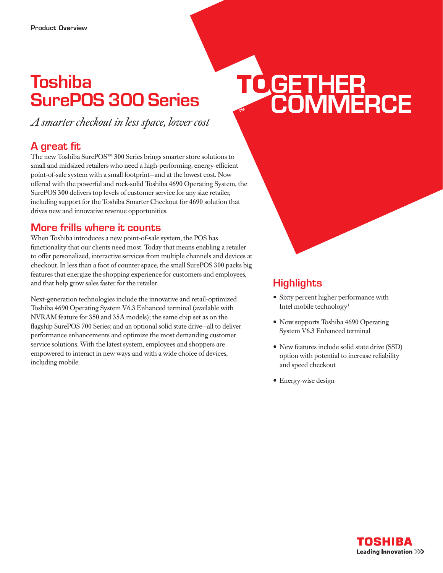# **Toshiba** SurePOS 300 Series

*A smarter checkout in less space, lower cost*

### A great fit

The new Toshiba SurePOS™ 300 Series brings smarter store solutions to small and midsized retailers who need a high-performing, energy-efficient point-of-sale system with a small footprint—and at the lowest cost. Now offered with the powerful and rock-solid Toshiba 4690 Operating System, the SurePOS 300 delivers top levels of customer service for any size retailer, including support for the Toshiba Smarter Checkout for 4690 solution that drives new and innovative revenue opportunities.

#### More frills where it counts

When Toshiba introduces a new point-of-sale system, the POS has functionality that our clients need most. Today that means enabling a retailer to offer personalized, interactive services from multiple channels and devices at checkout. In less than a foot of counter space, the small SurePOS 300 packs big features that energize the shopping experience for customers and employees, and that help grow sales faster for the retailer.

Next-generation technologies include the innovative and retail-optimized Toshiba 4690 Operating System V6.3 Enhanced terminal (available with NVRAM feature for 350 and 35A models); the same chip set as on the flagship SurePOS 700 Series; and an optional solid state drive—all to deliver performance enhancements and optimize the most demanding customer service solutions. With the latest system, employees and shoppers are empowered to interact in new ways and with a wide choice of devices, including mobile.

# TO GETHER<br>COMMERCE

## **Highlights**

- Sixty percent higher performance with Intel mobile technology1
- Now supports Toshiba 4690 Operating System V6.3 Enhanced terminal
- New features include solid state drive (SSD) option with potential to increase reliability and speed checkout
- Energy-wise design

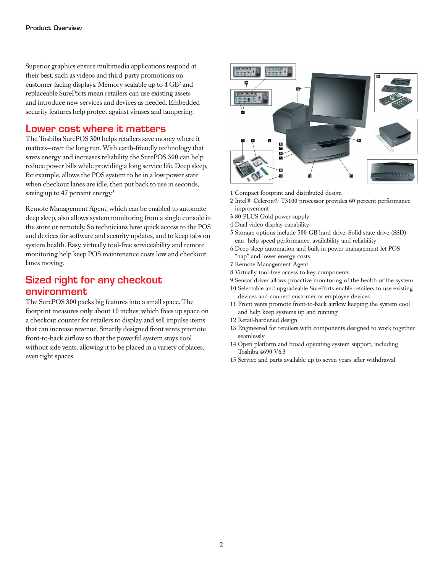Superior graphics ensure multimedia applications respond at their best, such as videos and third-party promotions on customer-facing displays. Memory scalable up to 4 GB<sup>2</sup> and replaceable SurePorts mean retailers can use existing assets and introduce new services and devices as needed. Embedded security features help protect against viruses and tampering.

#### Lower cost where it matters

The Toshiba SurePOS 300 helps retailers save money where it matters—over the long run. With earth-friendly technology that saves energy and increases reliability, the SurePOS 300 can help reduce power bills while providing a long service life. Deep sleep, for example, allows the POS system to be in a low power state when checkout lanes are idle, then put back to use in seconds, saving up to 47 percent energy.<sup>3</sup>

Remote Management Agent, which can be enabled to automate deep sleep, also allows system monitoring from a single console in the store or remotely. So technicians have quick access to the POS and devices for software and security updates, and to keep tabs on system health. Easy, virtually tool-free serviceability and remote monitoring help keep POS maintenance costs low and checkout lanes moving.

#### Sized right for any checkout environment

The SurePOS 300 packs big features into a small space. The footprint measures only about 10 inches, which frees up space on a checkout counter for retailers to display and sell impulse items that can increase revenue. Smartly designed front vents promote front-to-back airflow so that the powerful system stays cool without side vents, allowing it to be placed in a variety of places, even tight spaces.



- 1 Compact footprint and distributed design
- 2 Intel® Celeron® T3100 processor provides 60 percent performance improvement
- 3 80 PLUS Gold power supply
- 4 Dual video display capability
- 5 Storage options include 500 GB hard drive. Solid state drive (SSD) can help speed performance, availability and reliability
- 6 Deep sleep automation and built-in power management let POS "nap" and lower energy costs
- 7 Remote Management Agent
- 8 Virtually tool-free access to key components
- 9 Sensor driver allows proactive monitoring of the health of the system
- 10 Selectable and upgradeable SurePorts enable retailers to use existing devices and connect customer or employee devices
- 11 Front vents promote front-to-back airflow keeping the system cool and help keep systems up and running
- 12 Retail-hardened design
- 13 Engineered for retailers with components designed to work together seamlessly
- 14 Open platform and broad operating system support, including Toshiba 4690 V6.3
- 15 Service and parts available up to seven years after withdrawal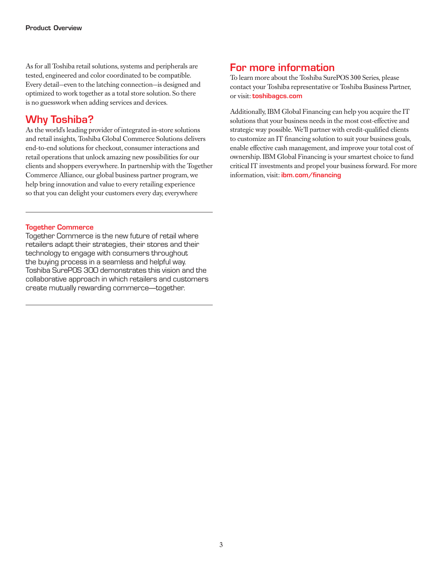As for all Toshiba retail solutions, systems and peripherals are tested, engineered and color coordinated to be compatible. Every detail—even to the latching connection—is designed and optimized to work together as a total store solution. So there is no guesswork when adding services and devices.

#### Why Toshiba?

As the world's leading provider of integrated in-store solutions and retail insights, Toshiba Global Commerce Solutions delivers end-to-end solutions for checkout, consumer interactions and retail operations that unlock amazing new possibilities for our clients and shoppers everywhere. In partnership with the Together Commerce Alliance, our global business partner program, we help bring innovation and value to every retailing experience so that you can delight your customers every day, everywhere

#### Together Commerce

Together Commerce is the new future of retail where retailers adapt their strategies, their stores and their technology to engage with consumers throughout the buying process in a seamless and helpful way. Toshiba SurePOS 300 demonstrates this vision and the collaborative approach in which retailers and customers create mutually rewarding commerce—together.

#### For more information

To learn more about the Toshiba SurePOS 300 Series, please contact your Toshiba representative or Toshiba Business Partner, or visit: [toshibagcs.com](http://www.toshibagcs.com)

Additionally, IBM Global Financing can help you acquire the IT solutions that your business needs in the most cost-effective and strategic way possible. We'll partner with credit-qualified clients to customize an IT financing solution to suit your business goals, enable effective cash management, and improve your total cost of ownership. IBM Global Financing is your smartest choice to fund critical IT investments and propel your business forward. For more information, visit: [ibm.com/financing](http://www.ibm.com/financing)